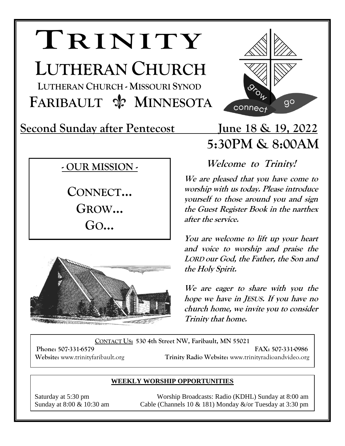# **TRINITY**

**LUTHERAN CHURCH LUTHERAN CHURCH - MISSOURI SYNOD FARIBAULT**  $\frac{A}{N}$  **MINNESOTA** 

**Second Sunday after Pentecost June 18 & 19, 2022**

### **- OUR MISSION -**

**CONNECT… GROW… GO…**



## connect  **5:30PM & 8:00AM**

 $9<sup>o</sup>$ 

**Welcome to Trinity!** 

**We are pleased that you have come to worship with us today. Please introduce yourself to those around you and sign the Guest Register Book in the narthex after the service.** 

**You are welcome to lift up your heart and voice to worship and praise the LORD our God, the Father, the Son and the Holy Spirit.**

**We are eager to share with you the hope we have in JESUS. If you have no church home, we invite you to consider Trinity that home.** 

**CONTACT US: 530 4th Street NW, Faribault, MN 55021**

**Phone: 507-331-6579 FAX: 507-331-0986 Website:** www.trinityfaribault.org **Trinity Radio Website:** www.trinityradioandvideo.org

#### **WEEKLY WORSHIP OPPORTUNITIES**

Saturday at 5:30 pm Worship Broadcasts: Radio (KDHL) Sunday at 8:00 am Sunday at  $8:00 \& 10:30$  am Cable (Channels 10  $& 181$ ) Monday  $&\sqrt{or}$  Tuesday at 3:30 pm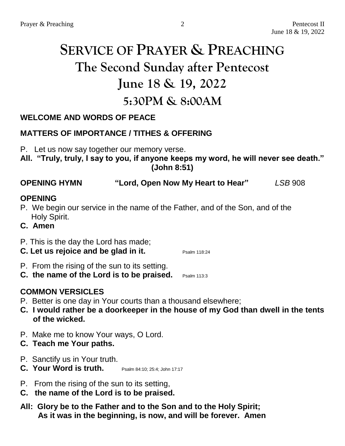### **SERVICE OF PRAYER & PREACHING The Second Sunday after Pentecost June 18 & 19, 2022 5:30PM & 8:00AM**

#### **WELCOME AND WORDS OF PEACE**

#### **MATTERS OF IMPORTANCE / TITHES & OFFERING**

P. Let us now say together our memory verse.

**All. "Truly, truly, I say to you, if anyone keeps my word, he will never see death." (John 8:51)**

#### **OPENING HYMN "Lord, Open Now My Heart to Hear"** *LSB* 908

#### **OPENING**

- P. We begin our service in the name of the Father, and of the Son, and of the Holy Spirit.
- **C. Amen**

#### P. This is the day the Lord has made;

- **C.** Let us rejoice and be glad in it. Psalm 118:24
- P. From the rising of the sun to its setting.
- **C. the name of the Lord is to be praised.** Psalm 113:3

#### **COMMON VERSICLES**

- P. Better is one day in Your courts than a thousand elsewhere;
- **C. I would rather be a doorkeeper in the house of my God than dwell in the tents of the wicked.**
- P. Make me to know Your ways, O Lord.
- **C. Teach me Your paths.**
- P. Sanctify us in Your truth.
- **C. Your Word is truth.** Psalm 84:10: 25:4: John 17:17
- P. From the rising of the sun to its setting,
- **C. the name of the Lord is to be praised.**
- **All: Glory be to the Father and to the Son and to the Holy Spirit; As it was in the beginning, is now, and will be forever. Amen**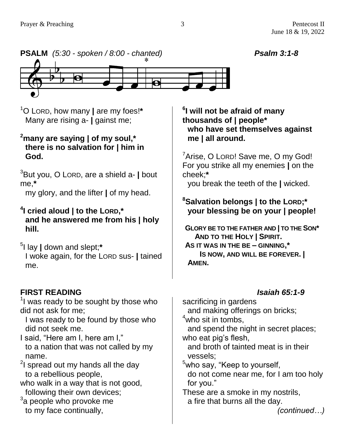

<sup>1</sup>O LORD, how many **|** are my foes!**\*** Many are rising a- **|** gainst me;

#### **<sup>2</sup>many are saying | of my soul,\* there is no salvation for | him in God.**

<sup>3</sup>But you, O LORD, are a shield a- **|** bout me,**\***

my glory, and the lifter **|** of my head.

#### **4 I cried aloud | to the LORD,\* and he answered me from his | holy hill.**

5 I lay **|** down and slept;**\*** I woke again, for the LORD sus- **|** tained me.

### **FIRST READING** *Isaiah 65:1-9*

 $1$  was ready to be sought by those who did not ask for me;

I was ready to be found by those who did not seek me.

- I said, "Here am I, here am I," to a nation that was not called by my name.
- $2$ I spread out my hands all the day to a rebellious people,
- who walk in a way that is not good, following their own devices;
- $3a$  people who provoke me to my face continually,

**6 I will not be afraid of many thousands of | people\* who have set themselves against me | all around.**

<sup>7</sup>Arise, O Lorp! Save me, O my God! For you strike all my enemies **|** on the cheek;**\***

you break the teeth of the **|** wicked.

#### **<sup>8</sup>Salvation belongs | to the LORD;\* your blessing be on your | people!**

**GLORY BE TO THE FATHER AND | TO THE SON\* AND TO THE HOLY | SPIRIT. AS IT WAS IN THE BE – GINNING,\* IS NOW, AND WILL BE FOREVER. | AMEN.**

sacrificing in gardens and making offerings on bricks;  $4$ who sit in tombs, and spend the night in secret places; who eat pig's flesh, and broth of tainted meat is in their vessels; <sup>5</sup>who say, "Keep to yourself, do not come near me, for I am too holy for you." These are a smoke in my nostrils, a fire that burns all the day.

*(continued…)*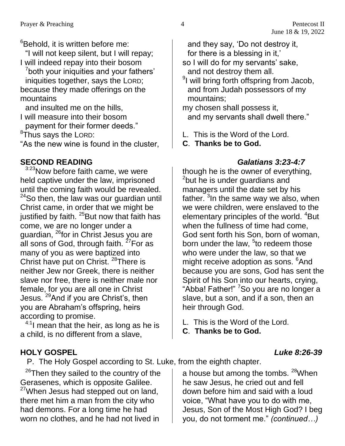$6B$ ehold, it is written before me: "I will not keep silent, but I will repay;

I will indeed repay into their bosom

<sup>7</sup>both your iniquities and your fathers' iniquities together, says the LORD; because they made offerings on the mountains

and insulted me on the hills, I will measure into their bosom payment for their former deeds."

 $8$ Thus says the LORD:

"As the new wine is found in the cluster,

#### **SECOND READING** *Galatians 3:23-4:7*

3:23 Now before faith came, we were held captive under the law, imprisoned until the coming faith would be revealed.  $24$ So then, the law was our guardian until Christ came, in order that we might be justified by faith.  $^{25}$ But now that faith has come, we are no longer under a guardian, <sup>26</sup>for in Christ Jesus you are all sons of God, through faith.  $27$  For as many of you as were baptized into Christ have put on Christ. <sup>28</sup>There is neither Jew nor Greek, there is neither slave nor free, there is neither male nor female, for you are all one in Christ Jesus. <sup>29</sup>And if you are Christ's, then you are Abraham's offspring, heirs according to promise.

 $4:1$  mean that the heir, as long as he is a child, is no different from a slave,

#### **HOLY GOSPEL** *Luke 8:26-39*

P. The Holy Gospel according to St. Luke, from the eighth chapter.

 $26$ Then they sailed to the country of the Gerasenes, which is opposite Galilee. <sup>27</sup>When Jesus had stepped out on land, there met him a man from the city who had demons. For a long time he had worn no clothes, and he had not lived in

and they say, 'Do not destroy it, for there is a blessing in it,'

so I will do for my servants' sake, and not destroy them all.

<sup>9</sup>I will bring forth offspring from Jacob, and from Judah possessors of my mountains;

my chosen shall possess it, and my servants shall dwell there."

- L. This is the Word of the Lord.
- **C**. **Thanks be to God.**

though he is the owner of everything, <sup>2</sup>but he is under guardians and managers until the date set by his father. <sup>3</sup>In the same way we also, when we were children, were enslaved to the elementary principles of the world. <sup>4</sup>But when the fullness of time had come, God sent forth his Son, born of woman, born under the law, <sup>5</sup>to redeem those who were under the law, so that we might receive adoption as sons. <sup>6</sup>And because you are sons, God has sent the Spirit of his Son into our hearts, crying, "Abba! Father!" <sup>7</sup>So you are no longer a slave, but a son, and if a son, then an heir through God.

L. This is the Word of the Lord.

a house but among the tombs. <sup>28</sup>When he saw Jesus, he cried out and fell down before him and said with a loud voice, "What have you to do with me, Jesus, Son of the Most High God? I beg you, do not torment me." *(continued…)*

**C**. **Thanks be to God.**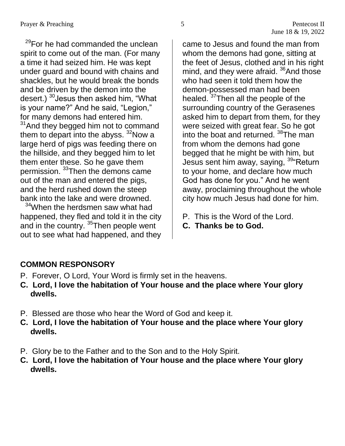$29$ For he had commanded the unclean spirit to come out of the man. (For many a time it had seized him. He was kept under guard and bound with chains and shackles, but he would break the bonds and be driven by the demon into the desert.) <sup>30</sup> Jesus then asked him, "What is your name?" And he said, "Legion," for many demons had entered him.

 $31$ And they begged him not to command them to depart into the abyss.  $32$ Now a large herd of pigs was feeding there on the hillside, and they begged him to let them enter these. So he gave them permission. <sup>33</sup>Then the demons came out of the man and entered the pigs, and the herd rushed down the steep bank into the lake and were drowned.

<sup>34</sup>When the herdsmen saw what had happened, they fled and told it in the city and in the country. <sup>35</sup>Then people went out to see what had happened, and they

came to Jesus and found the man from whom the demons had gone, sitting at the feet of Jesus, clothed and in his right mind, and they were afraid. <sup>36</sup>And those who had seen it told them how the demon-possessed man had been healed. <sup>37</sup>Then all the people of the surrounding country of the Gerasenes asked him to depart from them, for they were seized with great fear. So he got into the boat and returned. <sup>38</sup>The man from whom the demons had gone begged that he might be with him, but Jesus sent him away, saying, <sup>39</sup> Return to your home, and declare how much God has done for you." And he went away, proclaiming throughout the whole city how much Jesus had done for him.

- P. This is the Word of the Lord.
- **C. Thanks be to God.**

### **COMMON RESPONSORY**

- P. Forever, O Lord, Your Word is firmly set in the heavens.
- **C. Lord, I love the habitation of Your house and the place where Your glory dwells.**
- P. Blessed are those who hear the Word of God and keep it.
- **C. Lord, I love the habitation of Your house and the place where Your glory dwells.**
- P. Glory be to the Father and to the Son and to the Holy Spirit.
- **C. Lord, I love the habitation of Your house and the place where Your glory dwells.**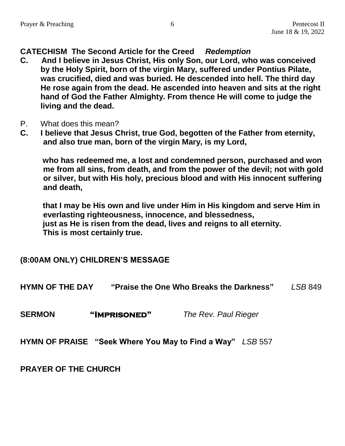#### **CATECHISM The Second Article for the Creed** *Redemption*

- **C. And I believe in Jesus Christ, His only Son, our Lord, who was conceived by the Holy Spirit, born of the virgin Mary, suffered under Pontius Pilate, was crucified, died and was buried. He descended into hell. The third day He rose again from the dead. He ascended into heaven and sits at the right hand of God the Father Almighty. From thence He will come to judge the living and the dead.**
- P. What does this mean?
- **C. I believe that Jesus Christ, true God, begotten of the Father from eternity, and also true man, born of the virgin Mary, is my Lord,**

**who has redeemed me, a lost and condemned person, purchased and won me from all sins, from death, and from the power of the devil; not with gold or silver, but with His holy, precious blood and with His innocent suffering and death,**

 **that I may be His own and live under Him in His kingdom and serve Him in everlasting righteousness, innocence, and blessedness, just as He is risen from the dead, lives and reigns to all eternity. This is most certainly true.**

#### **(8:00AM ONLY) CHILDREN'S MESSAGE**

**HYMN OF THE DAY "Praise the One Who Breaks the Darkness"** *LSB* 849

**SERMON "Imprisoned"** *The Rev. Paul Rieger*

**HYMN OF PRAISE "Seek Where You May to Find a Way"** *LSB* 557

**PRAYER OF THE CHURCH**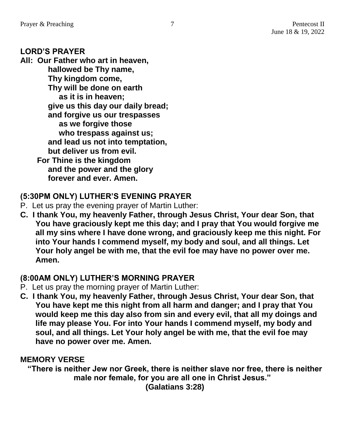#### **LORD'S PRAYER**

**All: Our Father who art in heaven, hallowed be Thy name, Thy kingdom come, Thy will be done on earth as it is in heaven; give us this day our daily bread; and forgive us our trespasses as we forgive those who trespass against us; and lead us not into temptation, but deliver us from evil. For Thine is the kingdom and the power and the glory forever and ever. Amen.**

#### **(5:30PM ONLY) LUTHER'S EVENING PRAYER**

- P. Let us pray the evening prayer of Martin Luther:
- **C. I thank You, my heavenly Father, through Jesus Christ, Your dear Son, that You have graciously kept me this day; and I pray that You would forgive me all my sins where I have done wrong, and graciously keep me this night. For into Your hands I commend myself, my body and soul, and all things. Let Your holy angel be with me, that the evil foe may have no power over me. Amen.**

#### **(8:00AM ONLY) LUTHER'S MORNING PRAYER**

- P. Let us pray the morning prayer of Martin Luther:
- **C. I thank You, my heavenly Father, through Jesus Christ, Your dear Son, that You have kept me this night from all harm and danger; and I pray that You would keep me this day also from sin and every evil, that all my doings and life may please You. For into Your hands I commend myself, my body and soul, and all things. Let Your holy angel be with me, that the evil foe may have no power over me. Amen.**

#### **MEMORY VERSE**

**"There is neither Jew nor Greek, there is neither slave nor free, there is neither male nor female, for you are all one in Christ Jesus."**

**(Galatians 3:28)**